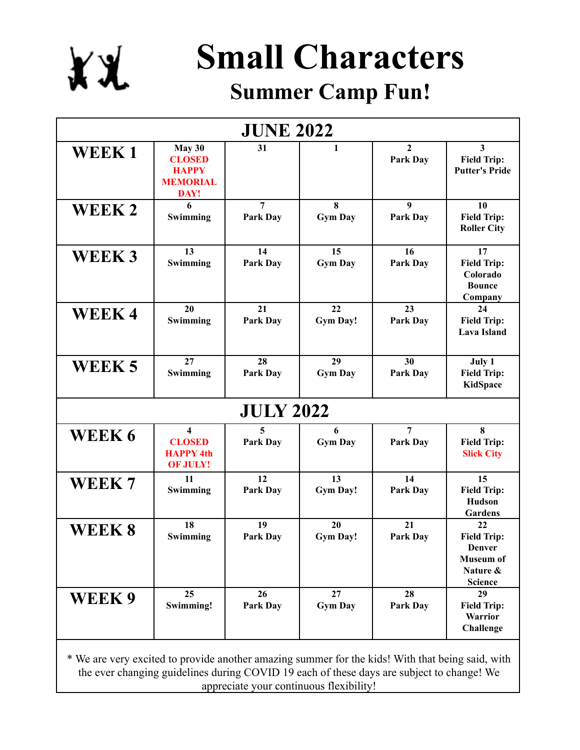

## **Small Characters**

## **Summer Camp Fun!**

| <b>JUNE 2022</b>                                                                                 |                                                                                           |                            |                       |                                 |                                                                                      |  |  |  |
|--------------------------------------------------------------------------------------------------|-------------------------------------------------------------------------------------------|----------------------------|-----------------------|---------------------------------|--------------------------------------------------------------------------------------|--|--|--|
| <b>WEEK1</b>                                                                                     | May 30<br><b>CLOSED</b><br><b>HAPPY</b><br><b>MEMORIAL</b><br>DAY!                        | 31                         | 1                     | $\mathbf{2}$<br><b>Park Day</b> | 3<br><b>Field Trip:</b><br><b>Putter's Pride</b>                                     |  |  |  |
| WEEK 2                                                                                           | 6<br>Swimming                                                                             | $\overline{7}$<br>Park Day | 8<br><b>Gym Day</b>   | 9<br>Park Day                   | 10<br><b>Field Trip:</b><br><b>Roller City</b>                                       |  |  |  |
| <b>WEEK3</b>                                                                                     | 13<br>Swimming                                                                            | 14<br>Park Day             | 15<br><b>Gym Day</b>  | 16<br>Park Day                  | 17<br><b>Field Trip:</b><br>Colorado<br><b>Bounce</b><br>Company                     |  |  |  |
| <b>WEEK4</b>                                                                                     | 20<br>Swimming                                                                            | 21<br>Park Day             | 22<br><b>Gym Day!</b> | 23<br>Park Day                  | 24<br><b>Field Trip:</b><br><b>Lava Island</b>                                       |  |  |  |
| WEEK 5                                                                                           | 27<br>Swimming                                                                            | 28<br>Park Day             | 29<br><b>Gym Day</b>  | 30<br>Park Day                  | July 1<br><b>Field Trip:</b><br>KidSpace                                             |  |  |  |
| <b>JULY 2022</b>                                                                                 |                                                                                           |                            |                       |                                 |                                                                                      |  |  |  |
| WEEK 6                                                                                           | $\overline{\mathbf{4}}$<br><b>CLOSED</b><br><b>HAPPY 4th</b><br><b>OF JULY!</b>           | 5<br>Park Day              | 6<br><b>Gym Day</b>   | 7<br>Park Day                   | 8<br><b>Field Trip:</b><br><b>Slick City</b>                                         |  |  |  |
| WEEK 7                                                                                           | 11<br>Swimming                                                                            | 12<br>Park Day             | 13<br><b>Gym Day!</b> | 14<br><b>Park Day</b>           | 15<br><b>Field Trip:</b><br><b>Hudson</b><br>Gardens                                 |  |  |  |
| WEEK 8                                                                                           | 18<br>Swimming                                                                            | 19<br>Park Day             | 20<br><b>Gym Day!</b> | 21<br>Park Day                  | 22<br><b>Field Trip:</b><br>Denver<br><b>Museum of</b><br>Nature &<br><b>Science</b> |  |  |  |
| WEEK 9                                                                                           | 25<br>Swimming!                                                                           | 26<br>Park Day             | 27<br><b>Gym Day</b>  | 28<br>Park Day                  | 29<br><b>Field Trip:</b><br>Warrior<br>Challenge                                     |  |  |  |
| * We are very excited to provide another amazing summer for the kids! With that being said, with | the ever changing guidelines during COVID 19 each of these days are subject to change! We |                            |                       |                                 |                                                                                      |  |  |  |

appreciate your continuous flexibility!